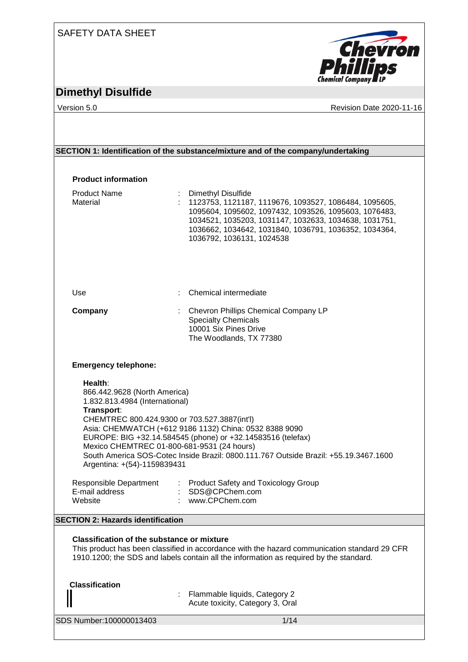### SAFETY DATA SHEET

# **Chevron**<br>**Phillips Chemical Company LP**

## **Dimethyl Disulfide**

Version 5.0 **CONFIDENTIAL CONTRACT CONTRACT CONTRACT CONTRACT CONTRACT CONTRACT CONTRACT CONTRACT CONTRACT CONTRACT CONTRACT CONTRACT CONTRACT CONTRACT CONTRACT CONTRACT CONTRACT CONTRACT CONTRACT CONTRACT CONTRACT CONTRAC** 

### **SECTION 1: Identification of the substance/mixture and of the company/undertaking**

| <b>Product information</b>                                                                                                                                                                                           |                                                                                                                                                                                                                                                                                     |
|----------------------------------------------------------------------------------------------------------------------------------------------------------------------------------------------------------------------|-------------------------------------------------------------------------------------------------------------------------------------------------------------------------------------------------------------------------------------------------------------------------------------|
| <b>Product Name</b><br>Material                                                                                                                                                                                      | Dimethyl Disulfide<br>1123753, 1121187, 1119676, 1093527, 1086484, 1095605,<br>1095604, 1095602, 1097432, 1093526, 1095603, 1076483,<br>1034521, 1035203, 1031147, 1032633, 1034638, 1031751,<br>1036662, 1034642, 1031840, 1036791, 1036352, 1034364,<br>1036792, 1036131, 1024538 |
| Use                                                                                                                                                                                                                  | Chemical intermediate                                                                                                                                                                                                                                                               |
| Company                                                                                                                                                                                                              | Chevron Phillips Chemical Company LP<br><b>Specialty Chemicals</b><br>10001 Six Pines Drive<br>The Woodlands, TX 77380                                                                                                                                                              |
| <b>Emergency telephone:</b>                                                                                                                                                                                          |                                                                                                                                                                                                                                                                                     |
| Health:<br>866.442.9628 (North America)<br>1.832.813.4984 (International)<br>Transport:<br>CHEMTREC 800.424.9300 or 703.527.3887(int'l)<br>Mexico CHEMTREC 01-800-681-9531 (24 hours)<br>Argentina: +(54)-1159839431 | Asia: CHEMWATCH (+612 9186 1132) China: 0532 8388 9090<br>EUROPE: BIG +32.14.584545 (phone) or +32.14583516 (telefax)<br>South America SOS-Cotec Inside Brazil: 0800.111.767 Outside Brazil: +55.19.3467.1600                                                                       |
| E-mail address<br>Website                                                                                                                                                                                            | Responsible Department : Product Safety and Toxicology Group<br>: SDS@CPChem.com<br>: www.CPChem.com                                                                                                                                                                                |
| <b>SECTION 2: Hazards identification</b>                                                                                                                                                                             |                                                                                                                                                                                                                                                                                     |
|                                                                                                                                                                                                                      |                                                                                                                                                                                                                                                                                     |
| <b>Classification of the substance or mixture</b>                                                                                                                                                                    | This product has been classified in accordance with the hazard communication standard 29 CFR<br>1910.1200; the SDS and labels contain all the information as required by the standard.                                                                                              |
| <b>Classification</b>                                                                                                                                                                                                | Flammable liquids, Category 2<br>Acute toxicity, Category 3, Oral                                                                                                                                                                                                                   |

SDS Number:100000013403 1/14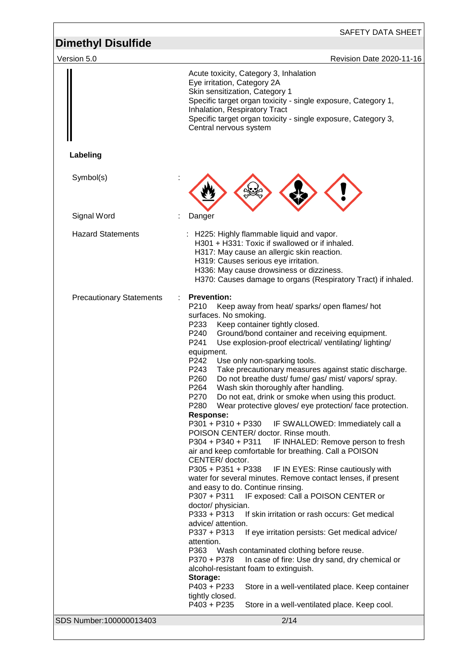| Version 5.0<br>Revision Date 2020-11-16<br>Acute toxicity, Category 3, Inhalation<br>Eye irritation, Category 2A<br>Skin sensitization, Category 1<br>Specific target organ toxicity - single exposure, Category 1,<br>Inhalation, Respiratory Tract<br>Specific target organ toxicity - single exposure, Category 3,<br>Central nervous system<br>Labeling<br>Symbol(s)<br>Signal Word<br>Danger<br><b>Hazard Statements</b><br>: H225: Highly flammable liquid and vapor.<br>H301 + H331: Toxic if swallowed or if inhaled.<br>H317: May cause an allergic skin reaction.<br>H319: Causes serious eye irritation.<br>H336: May cause drowsiness or dizziness.<br>H370: Causes damage to organs (Respiratory Tract) if inhaled.<br><b>Prevention:</b><br><b>Precautionary Statements</b><br>P210<br>Keep away from heat/ sparks/ open flames/ hot<br>surfaces. No smoking.<br>P233<br>Keep container tightly closed.<br>P240<br>Ground/bond container and receiving equipment.<br>P241<br>Use explosion-proof electrical/ventilating/lighting/<br>equipment.<br>P242<br>Use only non-sparking tools.<br>P243<br>Take precautionary measures against static discharge.<br>P260<br>Do not breathe dust/ fume/ gas/ mist/ vapors/ spray.<br>P264<br>Wash skin thoroughly after handling.<br>P270<br>Do not eat, drink or smoke when using this product.<br>Wear protective gloves/ eye protection/ face protection.<br>P280<br><b>Response:</b><br>P301 + P310 + P330<br>IF SWALLOWED: Immediately call a<br>POISON CENTER/ doctor. Rinse mouth.<br>P304 + P340 + P311<br>IF INHALED: Remove person to fresh<br>air and keep comfortable for breathing. Call a POISON<br>CENTER/doctor.<br>P305 + P351 + P338<br>IF IN EYES: Rinse cautiously with<br>water for several minutes. Remove contact lenses, if present<br>and easy to do. Continue rinsing.<br>P307 + P311<br>IF exposed: Call a POISON CENTER or<br>doctor/ physician.<br>P333 + P313<br>If skin irritation or rash occurs: Get medical<br>advice/ attention.<br>P337 + P313<br>If eye irritation persists: Get medical advice/<br>attention.<br>Wash contaminated clothing before reuse.<br>P363<br>P370 + P378<br>In case of fire: Use dry sand, dry chemical or<br>alcohol-resistant foam to extinguish.<br>Storage:<br>P403 + P233<br>Store in a well-ventilated place. Keep container<br>tightly closed.<br>P403 + P235<br>Store in a well-ventilated place. Keep cool.<br>SDS Number:100000013403<br>2/14 | <b>Dimethyl Disulfide</b> | SAFETY DATA SHEET |
|----------------------------------------------------------------------------------------------------------------------------------------------------------------------------------------------------------------------------------------------------------------------------------------------------------------------------------------------------------------------------------------------------------------------------------------------------------------------------------------------------------------------------------------------------------------------------------------------------------------------------------------------------------------------------------------------------------------------------------------------------------------------------------------------------------------------------------------------------------------------------------------------------------------------------------------------------------------------------------------------------------------------------------------------------------------------------------------------------------------------------------------------------------------------------------------------------------------------------------------------------------------------------------------------------------------------------------------------------------------------------------------------------------------------------------------------------------------------------------------------------------------------------------------------------------------------------------------------------------------------------------------------------------------------------------------------------------------------------------------------------------------------------------------------------------------------------------------------------------------------------------------------------------------------------------------------------------------------------------------------------------------------------------------------------------------------------------------------------------------------------------------------------------------------------------------------------------------------------------------------------------------------------------------------------------------------------------------------------------------------------------------------------------------------------------------------------------------------------|---------------------------|-------------------|
|                                                                                                                                                                                                                                                                                                                                                                                                                                                                                                                                                                                                                                                                                                                                                                                                                                                                                                                                                                                                                                                                                                                                                                                                                                                                                                                                                                                                                                                                                                                                                                                                                                                                                                                                                                                                                                                                                                                                                                                                                                                                                                                                                                                                                                                                                                                                                                                                                                                                            |                           |                   |
|                                                                                                                                                                                                                                                                                                                                                                                                                                                                                                                                                                                                                                                                                                                                                                                                                                                                                                                                                                                                                                                                                                                                                                                                                                                                                                                                                                                                                                                                                                                                                                                                                                                                                                                                                                                                                                                                                                                                                                                                                                                                                                                                                                                                                                                                                                                                                                                                                                                                            |                           |                   |
|                                                                                                                                                                                                                                                                                                                                                                                                                                                                                                                                                                                                                                                                                                                                                                                                                                                                                                                                                                                                                                                                                                                                                                                                                                                                                                                                                                                                                                                                                                                                                                                                                                                                                                                                                                                                                                                                                                                                                                                                                                                                                                                                                                                                                                                                                                                                                                                                                                                                            |                           |                   |
|                                                                                                                                                                                                                                                                                                                                                                                                                                                                                                                                                                                                                                                                                                                                                                                                                                                                                                                                                                                                                                                                                                                                                                                                                                                                                                                                                                                                                                                                                                                                                                                                                                                                                                                                                                                                                                                                                                                                                                                                                                                                                                                                                                                                                                                                                                                                                                                                                                                                            |                           |                   |
|                                                                                                                                                                                                                                                                                                                                                                                                                                                                                                                                                                                                                                                                                                                                                                                                                                                                                                                                                                                                                                                                                                                                                                                                                                                                                                                                                                                                                                                                                                                                                                                                                                                                                                                                                                                                                                                                                                                                                                                                                                                                                                                                                                                                                                                                                                                                                                                                                                                                            |                           |                   |
|                                                                                                                                                                                                                                                                                                                                                                                                                                                                                                                                                                                                                                                                                                                                                                                                                                                                                                                                                                                                                                                                                                                                                                                                                                                                                                                                                                                                                                                                                                                                                                                                                                                                                                                                                                                                                                                                                                                                                                                                                                                                                                                                                                                                                                                                                                                                                                                                                                                                            |                           |                   |
|                                                                                                                                                                                                                                                                                                                                                                                                                                                                                                                                                                                                                                                                                                                                                                                                                                                                                                                                                                                                                                                                                                                                                                                                                                                                                                                                                                                                                                                                                                                                                                                                                                                                                                                                                                                                                                                                                                                                                                                                                                                                                                                                                                                                                                                                                                                                                                                                                                                                            |                           |                   |
|                                                                                                                                                                                                                                                                                                                                                                                                                                                                                                                                                                                                                                                                                                                                                                                                                                                                                                                                                                                                                                                                                                                                                                                                                                                                                                                                                                                                                                                                                                                                                                                                                                                                                                                                                                                                                                                                                                                                                                                                                                                                                                                                                                                                                                                                                                                                                                                                                                                                            |                           |                   |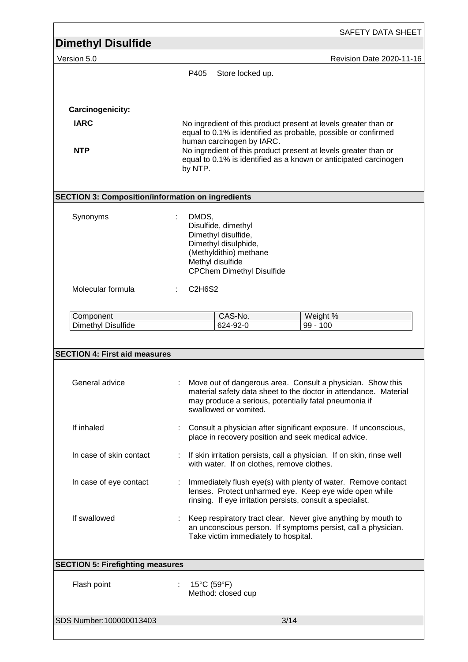|                                                          |               |                                                                                |      | SAFETY DATA SHEET                                                                                                                 |
|----------------------------------------------------------|---------------|--------------------------------------------------------------------------------|------|-----------------------------------------------------------------------------------------------------------------------------------|
| <b>Dimethyl Disulfide</b>                                |               |                                                                                |      |                                                                                                                                   |
| Version 5.0                                              |               |                                                                                |      | Revision Date 2020-11-16                                                                                                          |
|                                                          | P405          | Store locked up.                                                               |      |                                                                                                                                   |
|                                                          |               |                                                                                |      |                                                                                                                                   |
|                                                          |               |                                                                                |      |                                                                                                                                   |
| Carcinogenicity:                                         |               |                                                                                |      |                                                                                                                                   |
| <b>IARC</b>                                              |               |                                                                                |      | No ingredient of this product present at levels greater than or<br>equal to 0.1% is identified as probable, possible or confirmed |
| <b>NTP</b>                                               |               | human carcinogen by IARC.                                                      |      | No ingredient of this product present at levels greater than or                                                                   |
|                                                          |               |                                                                                |      | equal to 0.1% is identified as a known or anticipated carcinogen                                                                  |
|                                                          | by NTP.       |                                                                                |      |                                                                                                                                   |
|                                                          |               |                                                                                |      |                                                                                                                                   |
| <b>SECTION 3: Composition/information on ingredients</b> |               |                                                                                |      |                                                                                                                                   |
| Synonyms                                                 | DMDS,         |                                                                                |      |                                                                                                                                   |
|                                                          |               | Disulfide, dimethyl<br>Dimethyl disulfide,                                     |      |                                                                                                                                   |
|                                                          |               | Dimethyl disulphide,                                                           |      |                                                                                                                                   |
|                                                          |               | (Methyldithio) methane                                                         |      |                                                                                                                                   |
|                                                          |               | Methyl disulfide<br><b>CPChem Dimethyl Disulfide</b>                           |      |                                                                                                                                   |
| Molecular formula                                        | <b>C2H6S2</b> |                                                                                |      |                                                                                                                                   |
|                                                          |               |                                                                                |      |                                                                                                                                   |
| Component                                                |               | CAS-No.                                                                        |      | Weight %                                                                                                                          |
| Dimethyl Disulfide                                       |               | 624-92-0                                                                       |      | $99 - 100$                                                                                                                        |
| <b>SECTION 4: First aid measures</b>                     |               |                                                                                |      |                                                                                                                                   |
| General advice                                           |               |                                                                                |      | Move out of dangerous area. Consult a physician. Show this                                                                        |
|                                                          |               |                                                                                |      | material safety data sheet to the doctor in attendance. Material                                                                  |
|                                                          |               | may produce a serious, potentially fatal pneumonia if<br>swallowed or vomited. |      |                                                                                                                                   |
|                                                          |               |                                                                                |      |                                                                                                                                   |
| If inhaled                                               |               | place in recovery position and seek medical advice.                            |      | Consult a physician after significant exposure. If unconscious,                                                                   |
|                                                          |               |                                                                                |      |                                                                                                                                   |
| In case of skin contact                                  |               | with water. If on clothes, remove clothes.                                     |      | If skin irritation persists, call a physician. If on skin, rinse well                                                             |
| In case of eye contact                                   |               |                                                                                |      | Immediately flush eye(s) with plenty of water. Remove contact                                                                     |
|                                                          |               |                                                                                |      | lenses. Protect unharmed eye. Keep eye wide open while                                                                            |
|                                                          |               | rinsing. If eye irritation persists, consult a specialist.                     |      |                                                                                                                                   |
| If swallowed                                             |               |                                                                                |      | Keep respiratory tract clear. Never give anything by mouth to                                                                     |
|                                                          |               | Take victim immediately to hospital.                                           |      | an unconscious person. If symptoms persist, call a physician.                                                                     |
|                                                          |               |                                                                                |      |                                                                                                                                   |
| <b>SECTION 5: Firefighting measures</b>                  |               |                                                                                |      |                                                                                                                                   |
| Flash point                                              |               | $15^{\circ}$ C (59 $^{\circ}$ F)                                               |      |                                                                                                                                   |
|                                                          |               | Method: closed cup                                                             |      |                                                                                                                                   |
|                                                          |               |                                                                                |      |                                                                                                                                   |
| SDS Number:100000013403                                  |               |                                                                                | 3/14 |                                                                                                                                   |
|                                                          |               |                                                                                |      |                                                                                                                                   |

Г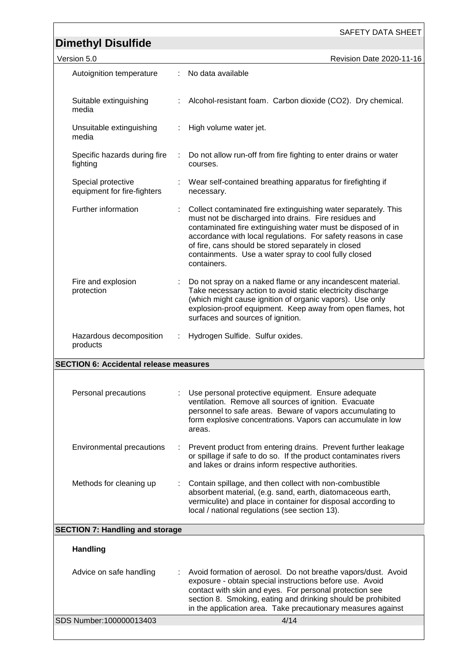|                                                   |   | <b>SAFETY DATA SHEET</b>                                                                                                                                                                                                                                                                                                                                                               |
|---------------------------------------------------|---|----------------------------------------------------------------------------------------------------------------------------------------------------------------------------------------------------------------------------------------------------------------------------------------------------------------------------------------------------------------------------------------|
| <b>Dimethyl Disulfide</b>                         |   |                                                                                                                                                                                                                                                                                                                                                                                        |
| Version 5.0                                       |   | Revision Date 2020-11-16                                                                                                                                                                                                                                                                                                                                                               |
| Autoignition temperature                          | ÷ | No data available                                                                                                                                                                                                                                                                                                                                                                      |
| Suitable extinguishing<br>media                   |   | Alcohol-resistant foam. Carbon dioxide (CO2). Dry chemical.                                                                                                                                                                                                                                                                                                                            |
| Unsuitable extinguishing<br>media                 |   | High volume water jet.                                                                                                                                                                                                                                                                                                                                                                 |
| Specific hazards during fire<br>fighting          |   | Do not allow run-off from fire fighting to enter drains or water<br>courses.                                                                                                                                                                                                                                                                                                           |
| Special protective<br>equipment for fire-fighters |   | Wear self-contained breathing apparatus for firefighting if<br>necessary.                                                                                                                                                                                                                                                                                                              |
| Further information                               |   | Collect contaminated fire extinguishing water separately. This<br>must not be discharged into drains. Fire residues and<br>contaminated fire extinguishing water must be disposed of in<br>accordance with local regulations. For safety reasons in case<br>of fire, cans should be stored separately in closed<br>containments. Use a water spray to cool fully closed<br>containers. |
| Fire and explosion<br>protection                  |   | Do not spray on a naked flame or any incandescent material.<br>Take necessary action to avoid static electricity discharge<br>(which might cause ignition of organic vapors). Use only<br>explosion-proof equipment. Keep away from open flames, hot<br>surfaces and sources of ignition.                                                                                              |
| Hazardous decomposition<br>products               |   | Hydrogen Sulfide. Sulfur oxides.                                                                                                                                                                                                                                                                                                                                                       |
| <b>SECTION 6: Accidental release measures</b>     |   |                                                                                                                                                                                                                                                                                                                                                                                        |
|                                                   |   |                                                                                                                                                                                                                                                                                                                                                                                        |
| Personal precautions                              |   | Use personal protective equipment. Ensure adequate<br>ventilation. Remove all sources of ignition. Evacuate<br>personnel to safe areas. Beware of vapors accumulating to<br>form explosive concentrations. Vapors can accumulate in low<br>areas.                                                                                                                                      |
| Environmental precautions                         | ÷ | Prevent product from entering drains. Prevent further leakage<br>or spillage if safe to do so. If the product contaminates rivers<br>and lakes or drains inform respective authorities.                                                                                                                                                                                                |
| Methods for cleaning up                           |   | Contain spillage, and then collect with non-combustible<br>absorbent material, (e.g. sand, earth, diatomaceous earth,<br>vermiculite) and place in container for disposal according to<br>local / national regulations (see section 13).                                                                                                                                               |
| <b>SECTION 7: Handling and storage</b>            |   |                                                                                                                                                                                                                                                                                                                                                                                        |
| <b>Handling</b>                                   |   |                                                                                                                                                                                                                                                                                                                                                                                        |
| Advice on safe handling                           |   | Avoid formation of aerosol. Do not breathe vapors/dust. Avoid<br>exposure - obtain special instructions before use. Avoid<br>contact with skin and eyes. For personal protection see<br>section 8. Smoking, eating and drinking should be prohibited<br>in the application area. Take precautionary measures against                                                                   |
| SDS Number: 100000013403                          |   | 4/14                                                                                                                                                                                                                                                                                                                                                                                   |
|                                                   |   |                                                                                                                                                                                                                                                                                                                                                                                        |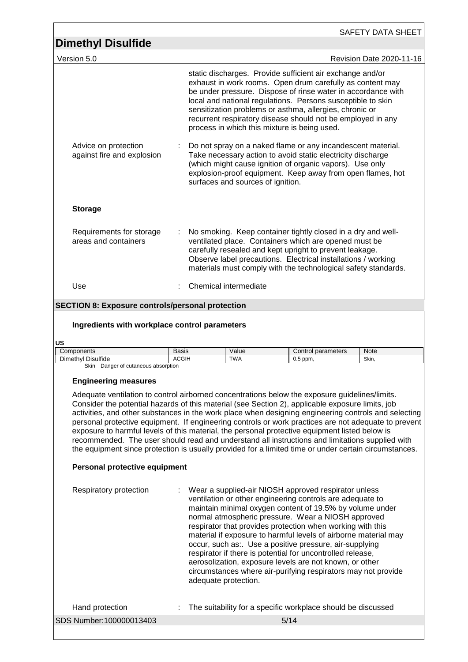|                                                                                                                                                                                                                                                                                                                                                                                                                                                                                                                                                                                                                                                                                                                                                                 |              |                                                                                                                                                                                                                                                                                                                                                                                                                                                                                                                                                                                                                                                   |                                   |                                                                                                                                                                                                                                                                                                                                                                                                                                 |                    | SAFETY DATA SHEET                                              |
|-----------------------------------------------------------------------------------------------------------------------------------------------------------------------------------------------------------------------------------------------------------------------------------------------------------------------------------------------------------------------------------------------------------------------------------------------------------------------------------------------------------------------------------------------------------------------------------------------------------------------------------------------------------------------------------------------------------------------------------------------------------------|--------------|---------------------------------------------------------------------------------------------------------------------------------------------------------------------------------------------------------------------------------------------------------------------------------------------------------------------------------------------------------------------------------------------------------------------------------------------------------------------------------------------------------------------------------------------------------------------------------------------------------------------------------------------------|-----------------------------------|---------------------------------------------------------------------------------------------------------------------------------------------------------------------------------------------------------------------------------------------------------------------------------------------------------------------------------------------------------------------------------------------------------------------------------|--------------------|----------------------------------------------------------------|
| <b>Dimethyl Disulfide</b>                                                                                                                                                                                                                                                                                                                                                                                                                                                                                                                                                                                                                                                                                                                                       |              |                                                                                                                                                                                                                                                                                                                                                                                                                                                                                                                                                                                                                                                   |                                   |                                                                                                                                                                                                                                                                                                                                                                                                                                 |                    |                                                                |
| Version 5.0                                                                                                                                                                                                                                                                                                                                                                                                                                                                                                                                                                                                                                                                                                                                                     |              |                                                                                                                                                                                                                                                                                                                                                                                                                                                                                                                                                                                                                                                   |                                   |                                                                                                                                                                                                                                                                                                                                                                                                                                 |                    | Revision Date 2020-11-16                                       |
|                                                                                                                                                                                                                                                                                                                                                                                                                                                                                                                                                                                                                                                                                                                                                                 |              |                                                                                                                                                                                                                                                                                                                                                                                                                                                                                                                                                                                                                                                   |                                   | static discharges. Provide sufficient air exchange and/or<br>exhaust in work rooms. Open drum carefully as content may<br>be under pressure. Dispose of rinse water in accordance with<br>local and national regulations. Persons susceptible to skin<br>sensitization problems or asthma, allergies, chronic or<br>recurrent respiratory disease should not be employed in any<br>process in which this mixture is being used. |                    |                                                                |
| Advice on protection<br>against fire and explosion                                                                                                                                                                                                                                                                                                                                                                                                                                                                                                                                                                                                                                                                                                              |              |                                                                                                                                                                                                                                                                                                                                                                                                                                                                                                                                                                                                                                                   | surfaces and sources of ignition. | Do not spray on a naked flame or any incandescent material.<br>Take necessary action to avoid static electricity discharge<br>(which might cause ignition of organic vapors). Use only                                                                                                                                                                                                                                          |                    | explosion-proof equipment. Keep away from open flames, hot     |
| <b>Storage</b>                                                                                                                                                                                                                                                                                                                                                                                                                                                                                                                                                                                                                                                                                                                                                  |              |                                                                                                                                                                                                                                                                                                                                                                                                                                                                                                                                                                                                                                                   |                                   |                                                                                                                                                                                                                                                                                                                                                                                                                                 |                    |                                                                |
| Requirements for storage<br>areas and containers                                                                                                                                                                                                                                                                                                                                                                                                                                                                                                                                                                                                                                                                                                                |              |                                                                                                                                                                                                                                                                                                                                                                                                                                                                                                                                                                                                                                                   |                                   | No smoking. Keep container tightly closed in a dry and well-<br>ventilated place. Containers which are opened must be<br>carefully resealed and kept upright to prevent leakage.<br>Observe label precautions. Electrical installations / working                                                                                                                                                                               |                    | materials must comply with the technological safety standards. |
| Use                                                                                                                                                                                                                                                                                                                                                                                                                                                                                                                                                                                                                                                                                                                                                             |              |                                                                                                                                                                                                                                                                                                                                                                                                                                                                                                                                                                                                                                                   | Chemical intermediate             |                                                                                                                                                                                                                                                                                                                                                                                                                                 |                    |                                                                |
| <b>SECTION 8: Exposure controls/personal protection</b>                                                                                                                                                                                                                                                                                                                                                                                                                                                                                                                                                                                                                                                                                                         |              |                                                                                                                                                                                                                                                                                                                                                                                                                                                                                                                                                                                                                                                   |                                   |                                                                                                                                                                                                                                                                                                                                                                                                                                 |                    |                                                                |
| Ingredients with workplace control parameters                                                                                                                                                                                                                                                                                                                                                                                                                                                                                                                                                                                                                                                                                                                   |              |                                                                                                                                                                                                                                                                                                                                                                                                                                                                                                                                                                                                                                                   |                                   |                                                                                                                                                                                                                                                                                                                                                                                                                                 |                    |                                                                |
| US<br>Components                                                                                                                                                                                                                                                                                                                                                                                                                                                                                                                                                                                                                                                                                                                                                | Basis        |                                                                                                                                                                                                                                                                                                                                                                                                                                                                                                                                                                                                                                                   | Value                             |                                                                                                                                                                                                                                                                                                                                                                                                                                 | Control parameters | Note                                                           |
| Dimethyl Disulfide<br>Skin Danger of cutaneous absorption                                                                                                                                                                                                                                                                                                                                                                                                                                                                                                                                                                                                                                                                                                       | <b>ACGIH</b> |                                                                                                                                                                                                                                                                                                                                                                                                                                                                                                                                                                                                                                                   | <b>TWA</b>                        | $0.5$ ppm,                                                                                                                                                                                                                                                                                                                                                                                                                      |                    | Skin,                                                          |
| <b>Engineering measures</b><br>Adequate ventilation to control airborned concentrations below the exposure guidelines/limits.<br>Consider the potential hazards of this material (see Section 2), applicable exposure limits, job<br>activities, and other substances in the work place when designing engineering controls and selecting<br>personal protective equipment. If engineering controls or work practices are not adequate to prevent<br>exposure to harmful levels of this material, the personal protective equipment listed below is<br>recommended. The user should read and understand all instructions and limitations supplied with<br>the equipment since protection is usually provided for a limited time or under certain circumstances. |              |                                                                                                                                                                                                                                                                                                                                                                                                                                                                                                                                                                                                                                                   |                                   |                                                                                                                                                                                                                                                                                                                                                                                                                                 |                    |                                                                |
| Personal protective equipment                                                                                                                                                                                                                                                                                                                                                                                                                                                                                                                                                                                                                                                                                                                                   |              |                                                                                                                                                                                                                                                                                                                                                                                                                                                                                                                                                                                                                                                   |                                   |                                                                                                                                                                                                                                                                                                                                                                                                                                 |                    |                                                                |
| Respiratory protection                                                                                                                                                                                                                                                                                                                                                                                                                                                                                                                                                                                                                                                                                                                                          |              | Wear a supplied-air NIOSH approved respirator unless<br>ventilation or other engineering controls are adequate to<br>maintain minimal oxygen content of 19.5% by volume under<br>normal atmospheric pressure. Wear a NIOSH approved<br>respirator that provides protection when working with this<br>material if exposure to harmful levels of airborne material may<br>occur, such as:. Use a positive pressure, air-supplying<br>respirator if there is potential for uncontrolled release,<br>aerosolization, exposure levels are not known, or other<br>circumstances where air-purifying respirators may not provide<br>adequate protection. |                                   |                                                                                                                                                                                                                                                                                                                                                                                                                                 |                    |                                                                |
| Hand protection                                                                                                                                                                                                                                                                                                                                                                                                                                                                                                                                                                                                                                                                                                                                                 |              |                                                                                                                                                                                                                                                                                                                                                                                                                                                                                                                                                                                                                                                   |                                   | The suitability for a specific workplace should be discussed                                                                                                                                                                                                                                                                                                                                                                    |                    |                                                                |
| SDS Number: 100000013403                                                                                                                                                                                                                                                                                                                                                                                                                                                                                                                                                                                                                                                                                                                                        |              |                                                                                                                                                                                                                                                                                                                                                                                                                                                                                                                                                                                                                                                   |                                   | 5/14                                                                                                                                                                                                                                                                                                                                                                                                                            |                    |                                                                |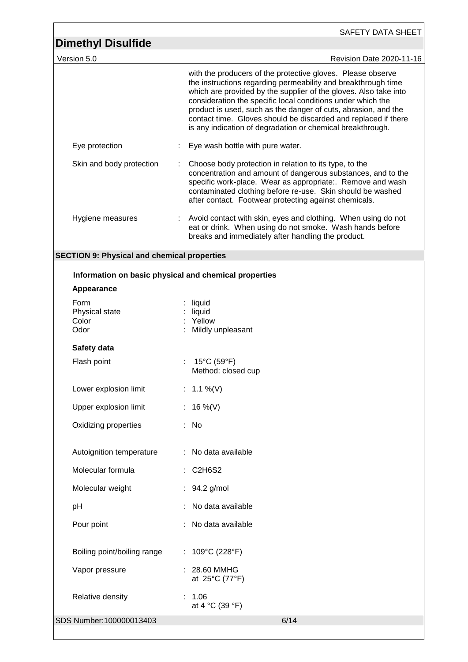| <b>Dimethyl Disulfide</b>                             | SAFETY DATA SHEET                                                                                                                                                                                                                                                                                                                                                                                                                                                 |
|-------------------------------------------------------|-------------------------------------------------------------------------------------------------------------------------------------------------------------------------------------------------------------------------------------------------------------------------------------------------------------------------------------------------------------------------------------------------------------------------------------------------------------------|
| Version 5.0                                           | Revision Date 2020-11-16                                                                                                                                                                                                                                                                                                                                                                                                                                          |
|                                                       | with the producers of the protective gloves. Please observe<br>the instructions regarding permeability and breakthrough time<br>which are provided by the supplier of the gloves. Also take into<br>consideration the specific local conditions under which the<br>product is used, such as the danger of cuts, abrasion, and the<br>contact time. Gloves should be discarded and replaced if there<br>is any indication of degradation or chemical breakthrough. |
| Eye protection                                        | Eye wash bottle with pure water.                                                                                                                                                                                                                                                                                                                                                                                                                                  |
| Skin and body protection                              | Choose body protection in relation to its type, to the<br>concentration and amount of dangerous substances, and to the<br>specific work-place. Wear as appropriate:. Remove and wash<br>contaminated clothing before re-use. Skin should be washed<br>after contact. Footwear protecting against chemicals.                                                                                                                                                       |
| Hygiene measures                                      | Avoid contact with skin, eyes and clothing. When using do not<br>eat or drink. When using do not smoke. Wash hands before<br>breaks and immediately after handling the product.                                                                                                                                                                                                                                                                                   |
| <b>SECTION 9: Physical and chemical properties</b>    |                                                                                                                                                                                                                                                                                                                                                                                                                                                                   |
| Information on basic physical and chemical properties |                                                                                                                                                                                                                                                                                                                                                                                                                                                                   |
| Appearance                                            |                                                                                                                                                                                                                                                                                                                                                                                                                                                                   |
| Form<br>Physical state<br>Color<br>Odor               | liquid<br>liquid<br>Yellow<br>Mildly unpleasant                                                                                                                                                                                                                                                                                                                                                                                                                   |
| Safety data                                           |                                                                                                                                                                                                                                                                                                                                                                                                                                                                   |
| Flash point                                           | 15°C (59°F)<br>Method: closed cup                                                                                                                                                                                                                                                                                                                                                                                                                                 |
| Lower explosion limit                                 | : $1.1\%$ (V)                                                                                                                                                                                                                                                                                                                                                                                                                                                     |
| Upper explosion limit                                 | : 16 %(V)                                                                                                                                                                                                                                                                                                                                                                                                                                                         |
| Oxidizing properties                                  | : No                                                                                                                                                                                                                                                                                                                                                                                                                                                              |
| Autoignition temperature                              | : No data available                                                                                                                                                                                                                                                                                                                                                                                                                                               |
| Molecular formula                                     | : C2H6S2                                                                                                                                                                                                                                                                                                                                                                                                                                                          |
| Molecular weight                                      | 94.2 g/mol                                                                                                                                                                                                                                                                                                                                                                                                                                                        |
| pH                                                    | No data available                                                                                                                                                                                                                                                                                                                                                                                                                                                 |
| Pour point                                            | No data available                                                                                                                                                                                                                                                                                                                                                                                                                                                 |
| Boiling point/boiling range                           | : 109°C (228°F)                                                                                                                                                                                                                                                                                                                                                                                                                                                   |
| Vapor pressure                                        | 28.60 MMHG<br>at 25°C (77°F)                                                                                                                                                                                                                                                                                                                                                                                                                                      |
| Relative density                                      | : 1.06<br>at 4 °C (39 °F)                                                                                                                                                                                                                                                                                                                                                                                                                                         |
| SDS Number:100000013403                               | 6/14                                                                                                                                                                                                                                                                                                                                                                                                                                                              |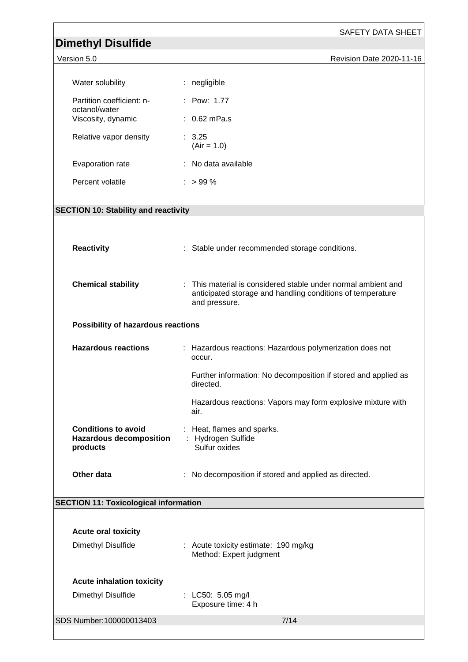| <b>Dimethyl Disulfide</b>                                                | SAFETY DATA SHEET                                                                                                                            |
|--------------------------------------------------------------------------|----------------------------------------------------------------------------------------------------------------------------------------------|
| Version 5.0                                                              | Revision Date 2020-11-16                                                                                                                     |
| Water solubility                                                         | : negligible                                                                                                                                 |
| Partition coefficient: n-                                                | : Pow: 1.77                                                                                                                                  |
| octanol/water<br>Viscosity, dynamic                                      | $: 0.62$ mPa.s                                                                                                                               |
| Relative vapor density                                                   | : 3.25<br>$(Air = 1.0)$                                                                                                                      |
| Evaporation rate                                                         | : No data available                                                                                                                          |
| Percent volatile                                                         | $: > 99 \%$                                                                                                                                  |
| <b>SECTION 10: Stability and reactivity</b>                              |                                                                                                                                              |
|                                                                          |                                                                                                                                              |
| <b>Reactivity</b>                                                        | : Stable under recommended storage conditions.                                                                                               |
| <b>Chemical stability</b>                                                | : This material is considered stable under normal ambient and<br>anticipated storage and handling conditions of temperature<br>and pressure. |
| <b>Possibility of hazardous reactions</b>                                |                                                                                                                                              |
| <b>Hazardous reactions</b>                                               | : Hazardous reactions: Hazardous polymerization does not<br>occur.                                                                           |
|                                                                          | Further information: No decomposition if stored and applied as<br>directed.                                                                  |
|                                                                          | Hazardous reactions: Vapors may form explosive mixture with<br>air.                                                                          |
| <b>Conditions to avoid</b><br><b>Hazardous decomposition</b><br>products | Heat, flames and sparks.<br>: Hydrogen Sulfide<br>Sulfur oxides                                                                              |
| Other data                                                               | No decomposition if stored and applied as directed.                                                                                          |
| <b>SECTION 11: Toxicological information</b>                             |                                                                                                                                              |
|                                                                          |                                                                                                                                              |
| <b>Acute oral toxicity</b><br>Dimethyl Disulfide                         | : Acute toxicity estimate: 190 mg/kg                                                                                                         |
|                                                                          | Method: Expert judgment                                                                                                                      |
| <b>Acute inhalation toxicity</b>                                         |                                                                                                                                              |
| Dimethyl Disulfide                                                       | : LC50: 5.05 mg/l<br>Exposure time: 4 h                                                                                                      |
| SDS Number:100000013403                                                  | 7/14                                                                                                                                         |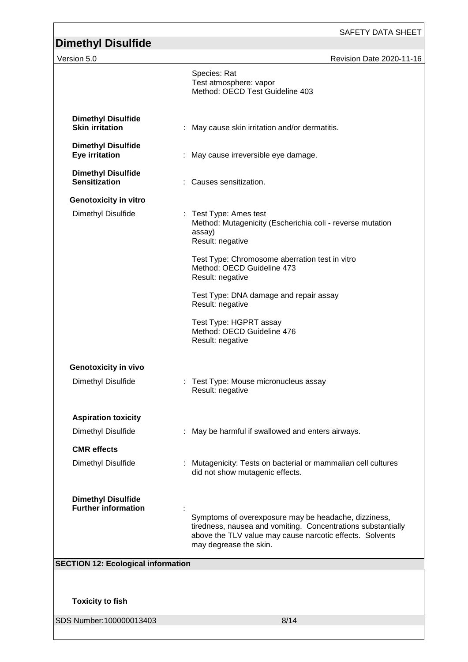## SAFETY DATA SHEET **Dimethyl Disulfide**  Version 5.0 Revision Date 2020-11-16 SDS Number:100000013403 8/14 Species: Rat Test atmosphere: vapor Method: OECD Test Guideline 403 **Dimethyl Disulfide Skin irritation** : May cause skin irritation and/or dermatitis. **Dimethyl Disulfide** : May cause irreversible eye damage. **Dimethyl Disulfide Sensitization** : Causes sensitization. **Genotoxicity in vitro** Dimethyl Disulfide : Test Type: Ames test Method: Mutagenicity (Escherichia coli - reverse mutation assay) Result: negative Test Type: Chromosome aberration test in vitro Method: OECD Guideline 473 Result: negative Test Type: DNA damage and repair assay Result: negative Test Type: HGPRT assay Method: OECD Guideline 476 Result: negative **Genotoxicity in vivo** Dimethyl Disulfide : Test Type: Mouse micronucleus assay Result: negative **Aspiration toxicity** Dimethyl Disulfide : May be harmful if swallowed and enters airways. **CMR effects** Dimethyl Disulfide : Mutagenicity: Tests on bacterial or mammalian cell cultures did not show mutagenic effects. **Dimethyl Disulfide Further information** : Symptoms of overexposure may be headache, dizziness, tiredness, nausea and vomiting. Concentrations substantially above the TLV value may cause narcotic effects. Solvents may degrease the skin. **SECTION 12: Ecological information Toxicity to fish**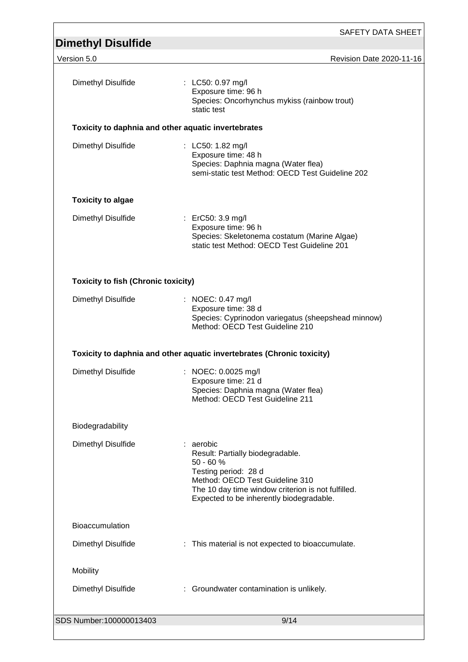| <b>Dimethyl Disulfide</b>                  |                                                                                                                                                                                                                           |
|--------------------------------------------|---------------------------------------------------------------------------------------------------------------------------------------------------------------------------------------------------------------------------|
| Version 5.0                                | Revision Date 2020-11-16                                                                                                                                                                                                  |
| Dimethyl Disulfide                         | : LC50: 0.97 mg/l<br>Exposure time: 96 h<br>Species: Oncorhynchus mykiss (rainbow trout)<br>static test                                                                                                                   |
|                                            | Toxicity to daphnia and other aquatic invertebrates                                                                                                                                                                       |
| Dimethyl Disulfide                         | : LC50: 1.82 mg/l<br>Exposure time: 48 h<br>Species: Daphnia magna (Water flea)<br>semi-static test Method: OECD Test Guideline 202                                                                                       |
| <b>Toxicity to algae</b>                   |                                                                                                                                                                                                                           |
| Dimethyl Disulfide                         | : ErC50: 3.9 mg/l<br>Exposure time: 96 h<br>Species: Skeletonema costatum (Marine Algae)<br>static test Method: OECD Test Guideline 201                                                                                   |
| <b>Toxicity to fish (Chronic toxicity)</b> |                                                                                                                                                                                                                           |
| Dimethyl Disulfide                         | : NOEC: 0.47 mg/l<br>Exposure time: 38 d<br>Species: Cyprinodon variegatus (sheepshead minnow)<br>Method: OECD Test Guideline 210                                                                                         |
|                                            |                                                                                                                                                                                                                           |
|                                            | Toxicity to daphnia and other aquatic invertebrates (Chronic toxicity)                                                                                                                                                    |
| Dimethyl Disulfide                         | : NOEC: 0.0025 mg/l<br>Exposure time: 21 d<br>Species: Daphnia magna (Water flea)<br>Method: OECD Test Guideline 211                                                                                                      |
| Biodegradability                           |                                                                                                                                                                                                                           |
| Dimethyl Disulfide                         | : aerobic<br>Result: Partially biodegradable.<br>$50 - 60 %$<br>Testing period: 28 d<br>Method: OECD Test Guideline 310<br>The 10 day time window criterion is not fulfilled.<br>Expected to be inherently biodegradable. |
| <b>Bioaccumulation</b>                     |                                                                                                                                                                                                                           |
| Dimethyl Disulfide                         | : This material is not expected to bioaccumulate.                                                                                                                                                                         |
| Mobility                                   |                                                                                                                                                                                                                           |
| Dimethyl Disulfide                         | : Groundwater contamination is unlikely.                                                                                                                                                                                  |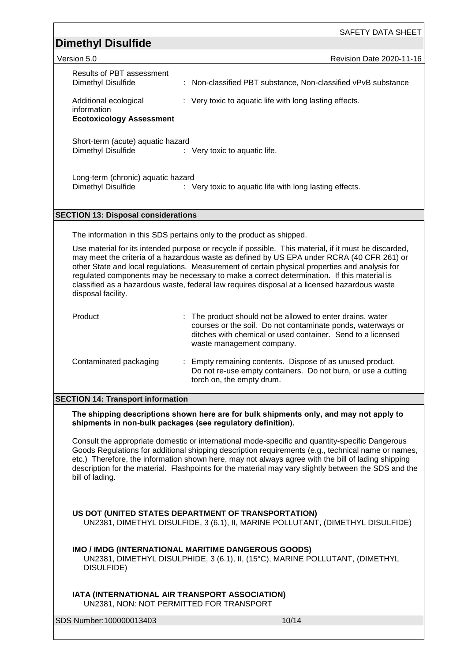SAFETY DATA SHEET

# **Dimethyl Disulfide**  Version 5.0 Revision Date 2020-11-16 Results of PBT assessment

| <b>Results of PBT assessment</b><br>Dimethyl Disulfide                  | : Non-classified PBT substance, Non-classified vPvB substance                                                                                                                                                                                                                                                                                                                                                                                                                                       |
|-------------------------------------------------------------------------|-----------------------------------------------------------------------------------------------------------------------------------------------------------------------------------------------------------------------------------------------------------------------------------------------------------------------------------------------------------------------------------------------------------------------------------------------------------------------------------------------------|
| Additional ecological<br>information<br><b>Ecotoxicology Assessment</b> | : Very toxic to aquatic life with long lasting effects.                                                                                                                                                                                                                                                                                                                                                                                                                                             |
| Short-term (acute) aquatic hazard<br>Dimethyl Disulfide                 | : Very toxic to aquatic life.                                                                                                                                                                                                                                                                                                                                                                                                                                                                       |
| Long-term (chronic) aquatic hazard<br>Dimethyl Disulfide                | : Very toxic to aquatic life with long lasting effects.                                                                                                                                                                                                                                                                                                                                                                                                                                             |
| <b>SECTION 13: Disposal considerations</b>                              |                                                                                                                                                                                                                                                                                                                                                                                                                                                                                                     |
|                                                                         |                                                                                                                                                                                                                                                                                                                                                                                                                                                                                                     |
|                                                                         | The information in this SDS pertains only to the product as shipped.                                                                                                                                                                                                                                                                                                                                                                                                                                |
| disposal facility.                                                      | Use material for its intended purpose or recycle if possible. This material, if it must be discarded,<br>may meet the criteria of a hazardous waste as defined by US EPA under RCRA (40 CFR 261) or<br>other State and local regulations. Measurement of certain physical properties and analysis for<br>regulated components may be necessary to make a correct determination. If this material is<br>classified as a hazardous waste, federal law requires disposal at a licensed hazardous waste |
| Product                                                                 | The product should not be allowed to enter drains, water<br>courses or the soil. Do not contaminate ponds, waterways or<br>ditches with chemical or used container. Send to a licensed<br>waste management company.                                                                                                                                                                                                                                                                                 |
| Contaminated packaging                                                  | Empty remaining contents. Dispose of as unused product.<br>Do not re-use empty containers. Do not burn, or use a cutting<br>torch on, the empty drum.                                                                                                                                                                                                                                                                                                                                               |
| <b>SECTION 14: Transport information</b>                                |                                                                                                                                                                                                                                                                                                                                                                                                                                                                                                     |
|                                                                         | The shipping descriptions shown here are for bulk shipments only, and may not apply to<br>shipments in non-bulk packages (see regulatory definition).                                                                                                                                                                                                                                                                                                                                               |
| bill of lading.                                                         | Consult the appropriate domestic or international mode-specific and quantity-specific Dangerous<br>Goods Regulations for additional shipping description requirements (e.g., technical name or names,<br>etc.) Therefore, the information shown here, may not always agree with the bill of lading shipping<br>description for the material. Flashpoints for the material may vary slightly between the SDS and the                                                                                 |
|                                                                         | US DOT (UNITED STATES DEPARTMENT OF TRANSPORTATION)<br>UN2381, DIMETHYL DISULFIDE, 3 (6.1), II, MARINE POLLUTANT, (DIMETHYL DISULFIDE)                                                                                                                                                                                                                                                                                                                                                              |
| DISULFIDE)                                                              | IMO / IMDG (INTERNATIONAL MARITIME DANGEROUS GOODS)<br>UN2381, DIMETHYL DISULPHIDE, 3 (6.1), II, (15°C), MARINE POLLUTANT, (DIMETHYL                                                                                                                                                                                                                                                                                                                                                                |
|                                                                         | IATA (INTERNATIONAL AIR TRANSPORT ASSOCIATION)<br>UN2381, NON: NOT PERMITTED FOR TRANSPORT                                                                                                                                                                                                                                                                                                                                                                                                          |
| SDS Number:100000013403                                                 | 10/14                                                                                                                                                                                                                                                                                                                                                                                                                                                                                               |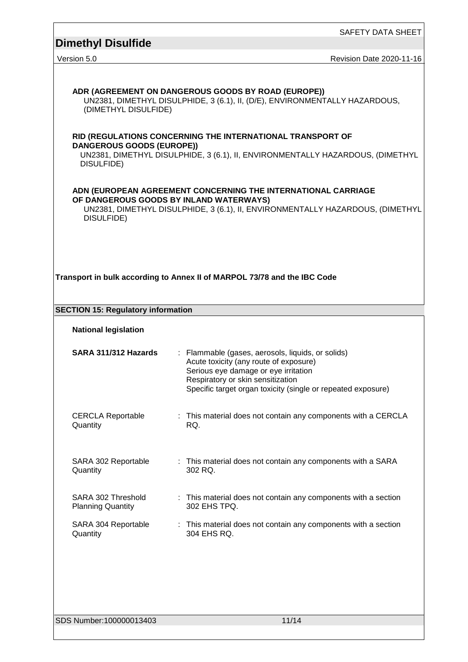SAFETY DATA SHEET

# **Dimethyl Disulfide**

| Version 5.0 |  |
|-------------|--|
|             |  |

Revision Date 2020-11-16

| ADR (AGREEMENT ON DANGEROUS GOODS BY ROAD (EUROPE))<br>UN2381, DIMETHYL DISULPHIDE, 3 (6.1), II, (D/E), ENVIRONMENTALLY HAZARDOUS,<br>(DIMETHYL DISULFIDE)                                               |                                                                                                                                                                                                                                          |  |  |
|----------------------------------------------------------------------------------------------------------------------------------------------------------------------------------------------------------|------------------------------------------------------------------------------------------------------------------------------------------------------------------------------------------------------------------------------------------|--|--|
| RID (REGULATIONS CONCERNING THE INTERNATIONAL TRANSPORT OF<br><b>DANGEROUS GOODS (EUROPE))</b><br>UN2381, DIMETHYL DISULPHIDE, 3 (6.1), II, ENVIRONMENTALLY HAZARDOUS, (DIMETHYL<br>DISULFIDE)           |                                                                                                                                                                                                                                          |  |  |
| ADN (EUROPEAN AGREEMENT CONCERNING THE INTERNATIONAL CARRIAGE<br>OF DANGEROUS GOODS BY INLAND WATERWAYS)<br>UN2381, DIMETHYL DISULPHIDE, 3 (6.1), II, ENVIRONMENTALLY HAZARDOUS, (DIMETHYL<br>DISULFIDE) |                                                                                                                                                                                                                                          |  |  |
|                                                                                                                                                                                                          | Transport in bulk according to Annex II of MARPOL 73/78 and the IBC Code                                                                                                                                                                 |  |  |
| <b>SECTION 15: Regulatory information</b>                                                                                                                                                                |                                                                                                                                                                                                                                          |  |  |
| <b>National legislation</b>                                                                                                                                                                              |                                                                                                                                                                                                                                          |  |  |
| SARA 311/312 Hazards                                                                                                                                                                                     | : Flammable (gases, aerosols, liquids, or solids)<br>Acute toxicity (any route of exposure)<br>Serious eye damage or eye irritation<br>Respiratory or skin sensitization<br>Specific target organ toxicity (single or repeated exposure) |  |  |
| <b>CERCLA Reportable</b><br>Quantity                                                                                                                                                                     | : This material does not contain any components with a CERCLA<br>RQ.                                                                                                                                                                     |  |  |
| SARA 302 Reportable<br>Quantity                                                                                                                                                                          | : This material does not contain any components with a SARA<br>302 RQ.                                                                                                                                                                   |  |  |
| SARA 302 Threshold<br><b>Planning Quantity</b>                                                                                                                                                           | : This material does not contain any components with a section<br>302 EHS TPQ.                                                                                                                                                           |  |  |
| SARA 304 Reportable<br>Quantity                                                                                                                                                                          | : This material does not contain any components with a section<br>304 EHS RQ.                                                                                                                                                            |  |  |
| SDS Number:100000013403                                                                                                                                                                                  | 11/14                                                                                                                                                                                                                                    |  |  |
|                                                                                                                                                                                                          |                                                                                                                                                                                                                                          |  |  |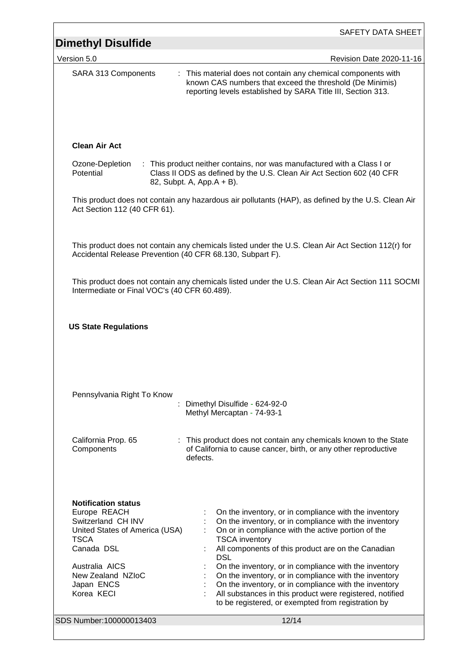| <b>Dimethyl Disulfide</b>                                                                                                                                                                                                     | <b>SAFETY DATA SHEET</b>                                                                                                                                                                                                                                                                                                                                                                                                                                                                                                                                                |
|-------------------------------------------------------------------------------------------------------------------------------------------------------------------------------------------------------------------------------|-------------------------------------------------------------------------------------------------------------------------------------------------------------------------------------------------------------------------------------------------------------------------------------------------------------------------------------------------------------------------------------------------------------------------------------------------------------------------------------------------------------------------------------------------------------------------|
| Version 5.0                                                                                                                                                                                                                   | Revision Date 2020-11-16                                                                                                                                                                                                                                                                                                                                                                                                                                                                                                                                                |
| SARA 313 Components                                                                                                                                                                                                           | : This material does not contain any chemical components with<br>known CAS numbers that exceed the threshold (De Minimis)<br>reporting levels established by SARA Title III, Section 313.                                                                                                                                                                                                                                                                                                                                                                               |
| <b>Clean Air Act</b>                                                                                                                                                                                                          |                                                                                                                                                                                                                                                                                                                                                                                                                                                                                                                                                                         |
| Ozone-Depletion<br>Potential                                                                                                                                                                                                  | : This product neither contains, nor was manufactured with a Class I or<br>Class II ODS as defined by the U.S. Clean Air Act Section 602 (40 CFR<br>82, Subpt. A, App. A + B).                                                                                                                                                                                                                                                                                                                                                                                          |
| Act Section 112 (40 CFR 61).                                                                                                                                                                                                  | This product does not contain any hazardous air pollutants (HAP), as defined by the U.S. Clean Air                                                                                                                                                                                                                                                                                                                                                                                                                                                                      |
| Accidental Release Prevention (40 CFR 68.130, Subpart F).                                                                                                                                                                     | This product does not contain any chemicals listed under the U.S. Clean Air Act Section 112(r) for                                                                                                                                                                                                                                                                                                                                                                                                                                                                      |
| Intermediate or Final VOC's (40 CFR 60.489).                                                                                                                                                                                  | This product does not contain any chemicals listed under the U.S. Clean Air Act Section 111 SOCMI                                                                                                                                                                                                                                                                                                                                                                                                                                                                       |
| <b>US State Regulations</b>                                                                                                                                                                                                   |                                                                                                                                                                                                                                                                                                                                                                                                                                                                                                                                                                         |
| Pennsylvania Right To Know                                                                                                                                                                                                    | Dimethyl Disulfide - 624-92-0<br>Methyl Mercaptan - 74-93-1                                                                                                                                                                                                                                                                                                                                                                                                                                                                                                             |
| California Prop. 65<br>Components                                                                                                                                                                                             | : This product does not contain any chemicals known to the State<br>of California to cause cancer, birth, or any other reproductive<br>defects.                                                                                                                                                                                                                                                                                                                                                                                                                         |
| <b>Notification status</b><br>Europe REACH<br>Switzerland CH INV<br>United States of America (USA)<br><b>TSCA</b><br>Canada DSL<br>Australia AICS<br>New Zealand NZIoC<br>Japan ENCS<br>Korea KECI<br>SDS Number:100000013403 | On the inventory, or in compliance with the inventory<br>On the inventory, or in compliance with the inventory<br>On or in compliance with the active portion of the<br><b>TSCA</b> inventory<br>All components of this product are on the Canadian<br><b>DSL</b><br>On the inventory, or in compliance with the inventory<br>On the inventory, or in compliance with the inventory<br>On the inventory, or in compliance with the inventory<br>All substances in this product were registered, notified<br>to be registered, or exempted from registration by<br>12/14 |
|                                                                                                                                                                                                                               |                                                                                                                                                                                                                                                                                                                                                                                                                                                                                                                                                                         |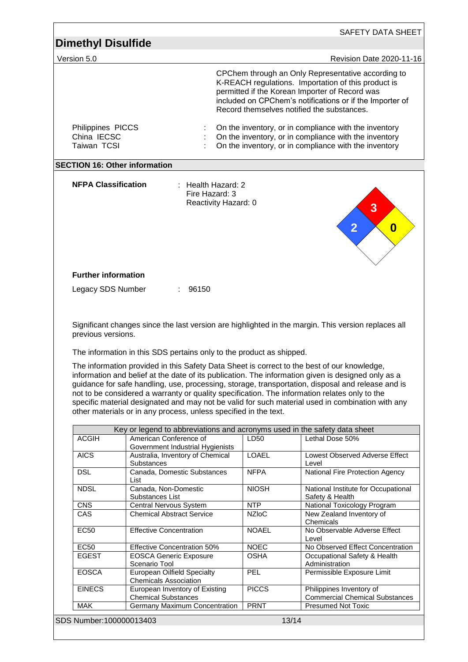| Version 5.0                                     |                                                                      |                                        |              | Revision Date 2020-11-16                                                                                                                                                                                                                                                                                                                                                                                                                                                                                    |  |
|-------------------------------------------------|----------------------------------------------------------------------|----------------------------------------|--------------|-------------------------------------------------------------------------------------------------------------------------------------------------------------------------------------------------------------------------------------------------------------------------------------------------------------------------------------------------------------------------------------------------------------------------------------------------------------------------------------------------------------|--|
|                                                 |                                                                      |                                        |              | CPChem through an Only Representative according to<br>K-REACH regulations. Importation of this product is<br>permitted if the Korean Importer of Record was<br>included on CPChem's notifications or if the Importer of<br>Record themselves notified the substances.                                                                                                                                                                                                                                       |  |
| Philippines PICCS<br>China IECSC<br>Taiwan TCSI |                                                                      |                                        |              | On the inventory, or in compliance with the inventory<br>On the inventory, or in compliance with the inventory<br>On the inventory, or in compliance with the inventory                                                                                                                                                                                                                                                                                                                                     |  |
|                                                 | <b>SECTION 16: Other information</b>                                 |                                        |              |                                                                                                                                                                                                                                                                                                                                                                                                                                                                                                             |  |
| <b>NFPA Classification</b>                      |                                                                      | : Health Hazard: 2                     |              |                                                                                                                                                                                                                                                                                                                                                                                                                                                                                                             |  |
|                                                 |                                                                      | Fire Hazard: 3<br>Reactivity Hazard: 0 |              | $\overline{\mathbf{3}}$<br>$\overline{2}$<br>0                                                                                                                                                                                                                                                                                                                                                                                                                                                              |  |
| <b>Further information</b>                      |                                                                      |                                        |              |                                                                                                                                                                                                                                                                                                                                                                                                                                                                                                             |  |
| Legacy SDS Number                               |                                                                      | 96150                                  |              |                                                                                                                                                                                                                                                                                                                                                                                                                                                                                                             |  |
| previous versions.                              | The information in this SDS pertains only to the product as shipped. |                                        |              | Significant changes since the last version are highlighted in the margin. This version replaces all                                                                                                                                                                                                                                                                                                                                                                                                         |  |
|                                                 |                                                                      |                                        |              | The information provided in this Safety Data Sheet is correct to the best of our knowledge,<br>information and belief at the date of its publication. The information given is designed only as a<br>guidance for safe handling, use, processing, storage, transportation, disposal and release and is<br>not to be considered a warranty or quality specification. The information relates only to the<br>specific material designated and may not be valid for such material used in combination with any |  |
|                                                 | other materials or in any process, unless specified in the text.     |                                        |              |                                                                                                                                                                                                                                                                                                                                                                                                                                                                                                             |  |
| <b>ACGIH</b>                                    | American Conference of<br>Government Industrial Hygienists           |                                        | LD50         | Key or legend to abbreviations and acronyms used in the safety data sheet<br>Lethal Dose 50%                                                                                                                                                                                                                                                                                                                                                                                                                |  |
| <b>AICS</b>                                     | Australia, Inventory of Chemical<br>Substances                       |                                        | <b>LOAEL</b> | Lowest Observed Adverse Effect<br>Level                                                                                                                                                                                                                                                                                                                                                                                                                                                                     |  |
| <b>DSL</b>                                      | Canada, Domestic Substances<br>List                                  |                                        | <b>NFPA</b>  | National Fire Protection Agency                                                                                                                                                                                                                                                                                                                                                                                                                                                                             |  |
| <b>NDSL</b>                                     | Canada, Non-Domestic                                                 |                                        | <b>NIOSH</b> | National Institute for Occupational                                                                                                                                                                                                                                                                                                                                                                                                                                                                         |  |
| <b>CNS</b>                                      | Substances List<br>Central Nervous System                            |                                        | <b>NTP</b>   | Safety & Health<br>National Toxicology Program                                                                                                                                                                                                                                                                                                                                                                                                                                                              |  |
| CAS                                             | <b>Chemical Abstract Service</b>                                     |                                        | <b>NZIoC</b> | New Zealand Inventory of<br>Chemicals                                                                                                                                                                                                                                                                                                                                                                                                                                                                       |  |
| <b>EC50</b>                                     | <b>Effective Concentration</b>                                       |                                        | <b>NOAEL</b> | No Observable Adverse Effect<br>Level                                                                                                                                                                                                                                                                                                                                                                                                                                                                       |  |
| EC50                                            | <b>Effective Concentration 50%</b>                                   |                                        | <b>NOEC</b>  | No Observed Effect Concentration                                                                                                                                                                                                                                                                                                                                                                                                                                                                            |  |
| <b>EGEST</b>                                    | <b>EOSCA Generic Exposure</b><br>Scenario Tool                       |                                        | <b>OSHA</b>  | Occupational Safety & Health<br>Administration                                                                                                                                                                                                                                                                                                                                                                                                                                                              |  |
| <b>EOSCA</b>                                    | <b>European Oilfield Specialty</b><br><b>Chemicals Association</b>   |                                        | PEL          | Permissible Exposure Limit                                                                                                                                                                                                                                                                                                                                                                                                                                                                                  |  |
| <b>EINECS</b>                                   | European Inventory of Existing<br><b>Chemical Substances</b>         |                                        | <b>PICCS</b> | Philippines Inventory of<br><b>Commercial Chemical Substances</b>                                                                                                                                                                                                                                                                                                                                                                                                                                           |  |

ſ

 $\overline{\phantom{0}}$